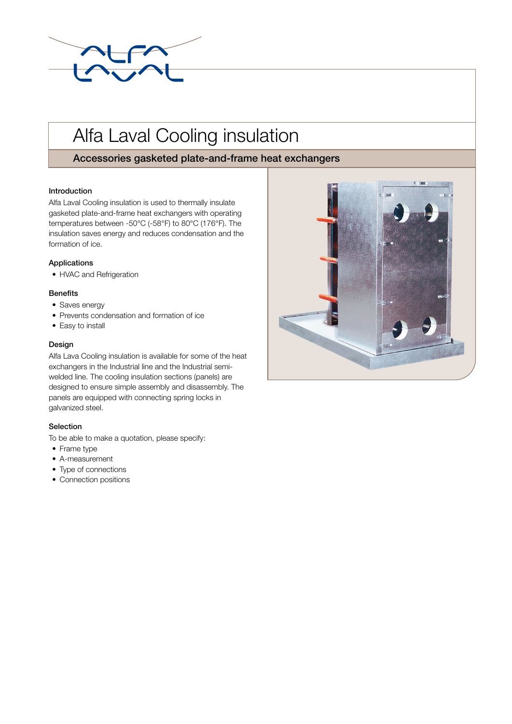

# Alfa Laval Cooling insulation

## Accessories gasketed plate-and-frame heat exchangers

#### Introduction

Alfa Laval Cooling insulation is used to thermally insulate gasketed plate-and-frame heat exchangers with operating temperatures between -50°C (-58°F) to 80°C (176°F). The insulation saves energy and reduces condensation and the formation of ice.

#### Applications

• HVAC and Refrigeration

#### **Benefits**

- Saves energy
- Prevents condensation and formation of ice
- Easy to install

#### Design

Alfa Lava Cooling insulation is available for some of the heat exchangers in the Industrial line and the Industrial semiwelded line. The cooling insulation sections (panels) are designed to ensure simple assembly and disassembly. The panels are equipped with connecting spring locks in galvanized steel.

### Selection

To be able to make a quotation, please specify:

- Frame type
- A-measurement
- Type of connections
- Connection positions